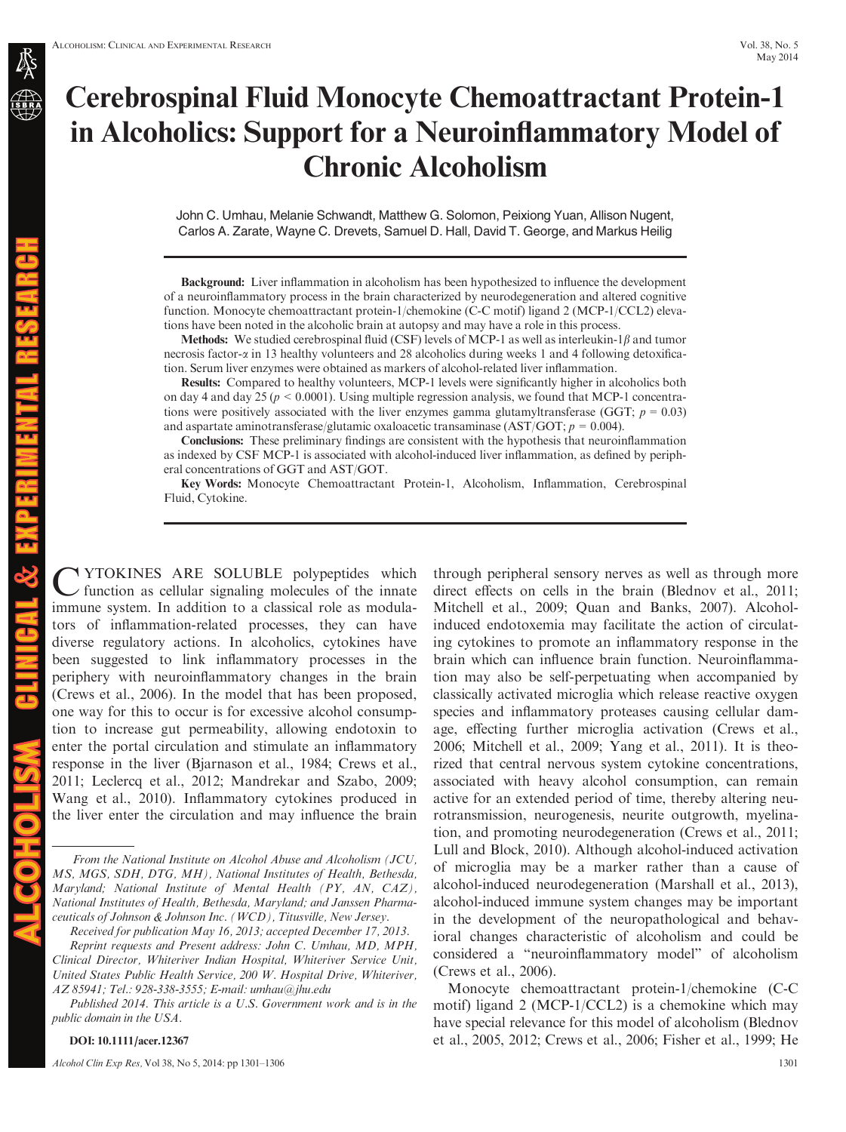EXPERIMENTAL RESEA

# Cerebrospinal Fluid Monocyte Chemoattractant Protein-1 in Alcoholics: Support for a Neuroinflammatory Model of Chronic Alcoholism

John C. Umhau, Melanie Schwandt, Matthew G. Solomon, Peixiong Yuan, Allison Nugent, Carlos A. Zarate, Wayne C. Drevets, Samuel D. Hall, David T. George, and Markus Heilig

Background: Liver inflammation in alcoholism has been hypothesized to influence the development of a neuroinflammatory process in the brain characterized by neurodegeneration and altered cognitive function. Monocyte chemoattractant protein-1/chemokine (C-C motif) ligand 2 (MCP-1/CCL2) elevations have been noted in the alcoholic brain at autopsy and may have a role in this process.

**Methods:** We studied cerebrospinal fluid (CSF) levels of MCP-1 as well as interleukin-1 $\beta$  and tumor necrosis factor- $\alpha$  in 13 healthy volunteers and 28 alcoholics during weeks 1 and 4 following detoxification. Serum liver enzymes were obtained as markers of alcohol-related liver inflammation.

Results: Compared to healthy volunteers, MCP-1 levels were significantly higher in alcoholics both on day 4 and day 25 ( $p < 0.0001$ ). Using multiple regression analysis, we found that MCP-1 concentrations were positively associated with the liver enzymes gamma glutamyltransferase (GGT;  $p = 0.03$ ) and aspartate aminotransferase/glutamic oxaloacetic transaminase (AST/GOT;  $p = 0.004$ ).

Conclusions: These preliminary findings are consistent with the hypothesis that neuroinflammation as indexed by CSF MCP-1 is associated with alcohol-induced liver inflammation, as defined by peripheral concentrations of GGT and AST/GOT.

Key Words: Monocyte Chemoattractant Protein-1, Alcoholism, Inflammation, Cerebrospinal Fluid, Cytokine.

C YTOKINES ARE SOLUBLE polypeptides which function as cellular signaling molecules of the innate immune system. In addition to a classical role as modulators of inflammation-related processes, they can have diverse regulatory actions. In alcoholics, cytokines have been suggested to link inflammatory processes in the periphery with neuroinflammatory changes in the brain (Crews et al., 2006). In the model that has been proposed, one way for this to occur is for excessive alcohol consumption to increase gut permeability, allowing endotoxin to enter the portal circulation and stimulate an inflammatory response in the liver (Bjarnason et al., 1984; Crews et al., 2011; Leclercq et al., 2012; Mandrekar and Szabo, 2009; Wang et al., 2010). Inflammatory cytokines produced in the liver enter the circulation and may influence the brain

Received for publication May 16, 2013; accepted December 17, 2013. Reprint requests and Present address: John C. Umhau, MD, MPH, Clinical Director, Whiteriver Indian Hospital, Whiteriver Service Unit, United States Public Health Service, 200 W. Hospital Drive, Whiteriver, AZ 85941; Tel.: 928-338-3555; E-mail: umhau@jhu.edu

Published 2014. This article is a U.S. Government work and is in the public domain in the USA.

#### DOI: 10.1111/acer.12367

through peripheral sensory nerves as well as through more direct effects on cells in the brain (Blednov et al., 2011; Mitchell et al., 2009; Quan and Banks, 2007). Alcoholinduced endotoxemia may facilitate the action of circulating cytokines to promote an inflammatory response in the brain which can influence brain function. Neuroinflammation may also be self-perpetuating when accompanied by classically activated microglia which release reactive oxygen species and inflammatory proteases causing cellular damage, effecting further microglia activation (Crews et al., 2006; Mitchell et al., 2009; Yang et al., 2011). It is theorized that central nervous system cytokine concentrations, associated with heavy alcohol consumption, can remain active for an extended period of time, thereby altering neurotransmission, neurogenesis, neurite outgrowth, myelination, and promoting neurodegeneration (Crews et al., 2011; Lull and Block, 2010). Although alcohol-induced activation of microglia may be a marker rather than a cause of alcohol-induced neurodegeneration (Marshall et al., 2013), alcohol-induced immune system changes may be important in the development of the neuropathological and behavioral changes characteristic of alcoholism and could be considered a "neuroinflammatory model" of alcoholism (Crews et al., 2006).

Monocyte chemoattractant protein-1/chemokine (C-C motif) ligand 2 (MCP-1/CCL2) is a chemokine which may have special relevance for this model of alcoholism (Blednov et al., 2005, 2012; Crews et al., 2006; Fisher et al., 1999; He

From the National Institute on Alcohol Abuse and Alcoholism (JCU, MS, MGS, SDH, DTG, MH), National Institutes of Health, Bethesda, Maryland; National Institute of Mental Health (PY, AN, CAZ), National Institutes of Health, Bethesda, Maryland; and Janssen Pharmaceuticals of Johnson & Johnson Inc. (WCD), Titusville, New Jersey.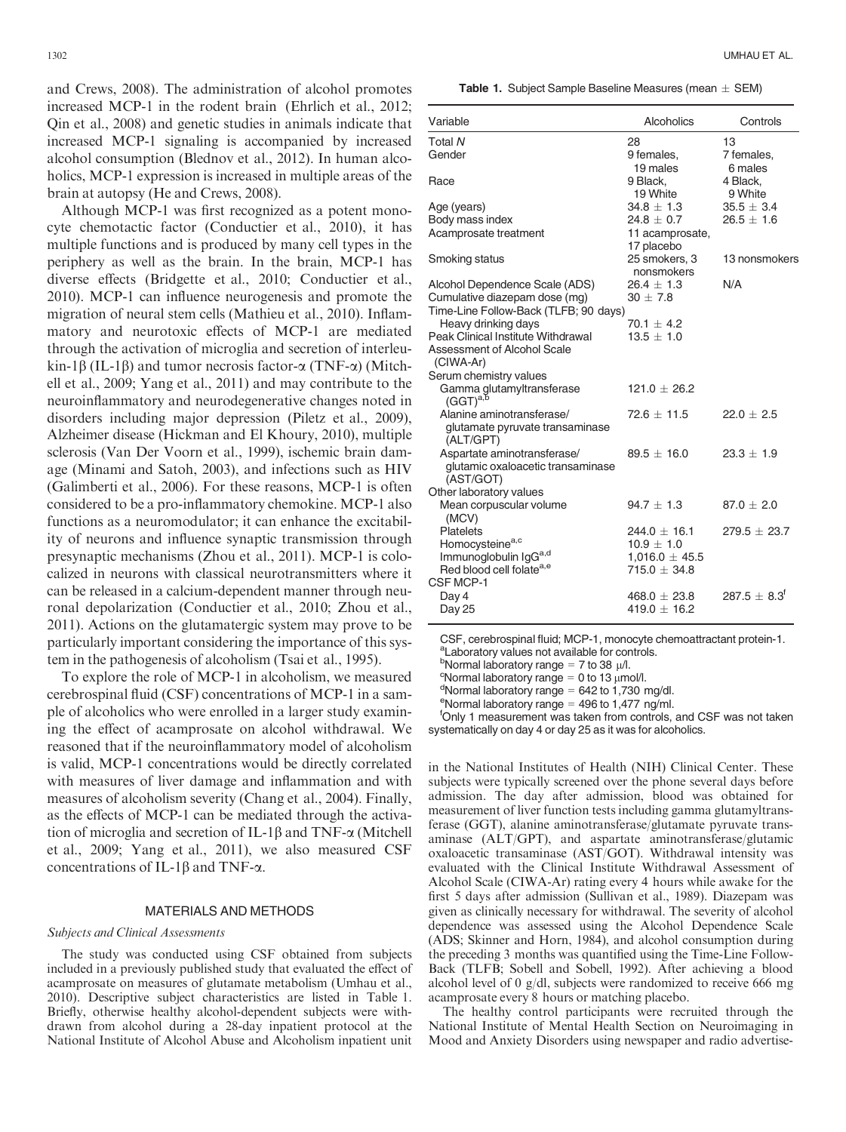and Crews, 2008). The administration of alcohol promotes increased MCP-1 in the rodent brain (Ehrlich et al., 2012; Qin et al., 2008) and genetic studies in animals indicate that increased MCP-1 signaling is accompanied by increased alcohol consumption (Blednov et al., 2012). In human alcoholics, MCP-1 expression is increased in multiple areas of the brain at autopsy (He and Crews, 2008).

Although MCP-1 was first recognized as a potent monocyte chemotactic factor (Conductier et al., 2010), it has multiple functions and is produced by many cell types in the periphery as well as the brain. In the brain, MCP-1 has diverse effects (Bridgette et al., 2010; Conductier et al., 2010). MCP-1 can influence neurogenesis and promote the migration of neural stem cells (Mathieu et al., 2010). Inflammatory and neurotoxic effects of MCP-1 are mediated through the activation of microglia and secretion of interleukin-1 $\beta$  (IL-1 $\beta$ ) and tumor necrosis factor- $\alpha$  (TNF- $\alpha$ ) (Mitchell et al., 2009; Yang et al., 2011) and may contribute to the neuroinflammatory and neurodegenerative changes noted in disorders including major depression (Piletz et al., 2009), Alzheimer disease (Hickman and El Khoury, 2010), multiple sclerosis (Van Der Voorn et al., 1999), ischemic brain damage (Minami and Satoh, 2003), and infections such as HIV (Galimberti et al., 2006). For these reasons, MCP-1 is often considered to be a pro-inflammatory chemokine. MCP-1 also functions as a neuromodulator; it can enhance the excitability of neurons and influence synaptic transmission through presynaptic mechanisms (Zhou et al., 2011). MCP-1 is colocalized in neurons with classical neurotransmitters where it can be released in a calcium-dependent manner through neuronal depolarization (Conductier et al., 2010; Zhou et al., 2011). Actions on the glutamatergic system may prove to be particularly important considering the importance of this system in the pathogenesis of alcoholism (Tsai et al., 1995).

To explore the role of MCP-1 in alcoholism, we measured cerebrospinal fluid (CSF) concentrations of MCP-1 in a sample of alcoholics who were enrolled in a larger study examining the effect of acamprosate on alcohol withdrawal. We reasoned that if the neuroinflammatory model of alcoholism is valid, MCP-1 concentrations would be directly correlated with measures of liver damage and inflammation and with measures of alcoholism severity (Chang et al., 2004). Finally, as the effects of MCP-1 can be mediated through the activation of microglia and secretion of IL-1 $\beta$  and TNF- $\alpha$  (Mitchell et al., 2009; Yang et al., 2011), we also measured CSF concentrations of IL-1 $\beta$  and TNF- $\alpha$ .

#### MATERIALS AND METHODS

### Subjects and Clinical Assessments

The study was conducted using CSF obtained from subjects included in a previously published study that evaluated the effect of acamprosate on measures of glutamate metabolism (Umhau et al., 2010). Descriptive subject characteristics are listed in Table 1. Briefly, otherwise healthy alcohol-dependent subjects were withdrawn from alcohol during a 28-day inpatient protocol at the National Institute of Alcohol Abuse and Alcoholism inpatient unit **Table 1.** Subject Sample Baseline Measures (mean  $\pm$  SEM)

| Variable                                                                                                          | Alcoholics                                                                 | Controls              |
|-------------------------------------------------------------------------------------------------------------------|----------------------------------------------------------------------------|-----------------------|
| <b>Total N</b>                                                                                                    | 28                                                                         | 13                    |
| Gender                                                                                                            | 9 females.<br>19 males                                                     | 7 females.<br>6 males |
| Race                                                                                                              | 9 Black.<br>19 White                                                       | 4 Black.<br>9 White   |
| Age (years)                                                                                                       | $34.8 \pm 1.3$                                                             | $35.5 \pm 3.4$        |
| Body mass index                                                                                                   | $24.8 \pm 0.7$                                                             | $26.5 \pm 1.6$        |
| Acamprosate treatment                                                                                             | 11 acamprosate,<br>17 placebo                                              |                       |
| Smoking status                                                                                                    | 25 smokers, 3<br>nonsmokers                                                | 13 nonsmokers         |
| Alcohol Dependence Scale (ADS)<br>Cumulative diazepam dose (mg)                                                   | $26.4 \pm 1.3$<br>$30 \pm 7.8$                                             | N/A                   |
| Time-Line Follow-Back (TLFB; 90 days)                                                                             |                                                                            |                       |
| Heavy drinking days                                                                                               | $70.1 + 4.2$                                                               |                       |
| Peak Clinical Institute Withdrawal                                                                                | $13.5 \pm 1.0$                                                             |                       |
| Assessment of Alcohol Scale<br>(CIWA-Ar)                                                                          |                                                                            |                       |
| Serum chemistry values                                                                                            |                                                                            |                       |
| Gamma glutamyltransferase<br>$(GGT)^{a,b}$                                                                        | $121.0 + 26.2$                                                             |                       |
| Alanine aminotransferase/<br>glutamate pyruvate transaminase<br>(ALT/GPT)                                         | $72.6 + 11.5$                                                              | $22.0 + 2.5$          |
| Aspartate aminotransferase/<br>glutamic oxaloacetic transaminase<br>(AST/GOT)                                     | $89.5 + 16.0$                                                              | $23.3 + 1.9$          |
| Other laboratory values                                                                                           |                                                                            |                       |
| Mean corpuscular volume<br>(MCV)                                                                                  | $94.7 + 1.3$                                                               | $87.0 + 2.0$          |
| <b>Platelets</b><br>Homocysteinea,c<br>Immunoglobulin IgGa,d<br>Red blood cell folate <sup>a,e</sup><br>CSF MCP-1 | $244.0 \pm 16.1$<br>$10.9 \pm 1.0$<br>$1,016.0 \pm 45.5$<br>$715.0 + 34.8$ | $279.5 \pm 23.7$      |
| Day 4<br>Day 25                                                                                                   | $468.0 + 23.8$<br>$419.0 + 16.2$                                           | $287.5 + 8.3^{t}$     |

CSF, cerebrospinal fluid; MCP-1, monocyte chemoattractant protein-1. <sup>a</sup>Laboratory values not available for controls.

b Normal laboratory range = 7 to 38  $\mu$ /l.

 $\degree$ Normal laboratory range = 0 to 13  $\mu$ mol/l.

 $d$ Normal laboratory range = 642 to 1,730 mg/dl.

 $e$ Normal laboratory range = 496 to 1,477 ng/ml.

Only 1 measurement was taken from controls, and CSF was not taken systematically on day 4 or day 25 as it was for alcoholics.

in the National Institutes of Health (NIH) Clinical Center. These subjects were typically screened over the phone several days before admission. The day after admission, blood was obtained for measurement of liver function tests including gamma glutamyltransferase (GGT), alanine aminotransferase/glutamate pyruvate transaminase (ALT/GPT), and aspartate aminotransferase/glutamic oxaloacetic transaminase (AST/GOT). Withdrawal intensity was evaluated with the Clinical Institute Withdrawal Assessment of Alcohol Scale (CIWA-Ar) rating every 4 hours while awake for the first 5 days after admission (Sullivan et al., 1989). Diazepam was given as clinically necessary for withdrawal. The severity of alcohol dependence was assessed using the Alcohol Dependence Scale (ADS; Skinner and Horn, 1984), and alcohol consumption during the preceding 3 months was quantified using the Time-Line Follow-Back (TLFB; Sobell and Sobell, 1992). After achieving a blood alcohol level of 0 g/dl, subjects were randomized to receive 666 mg acamprosate every 8 hours or matching placebo.

The healthy control participants were recruited through the National Institute of Mental Health Section on Neuroimaging in Mood and Anxiety Disorders using newspaper and radio advertise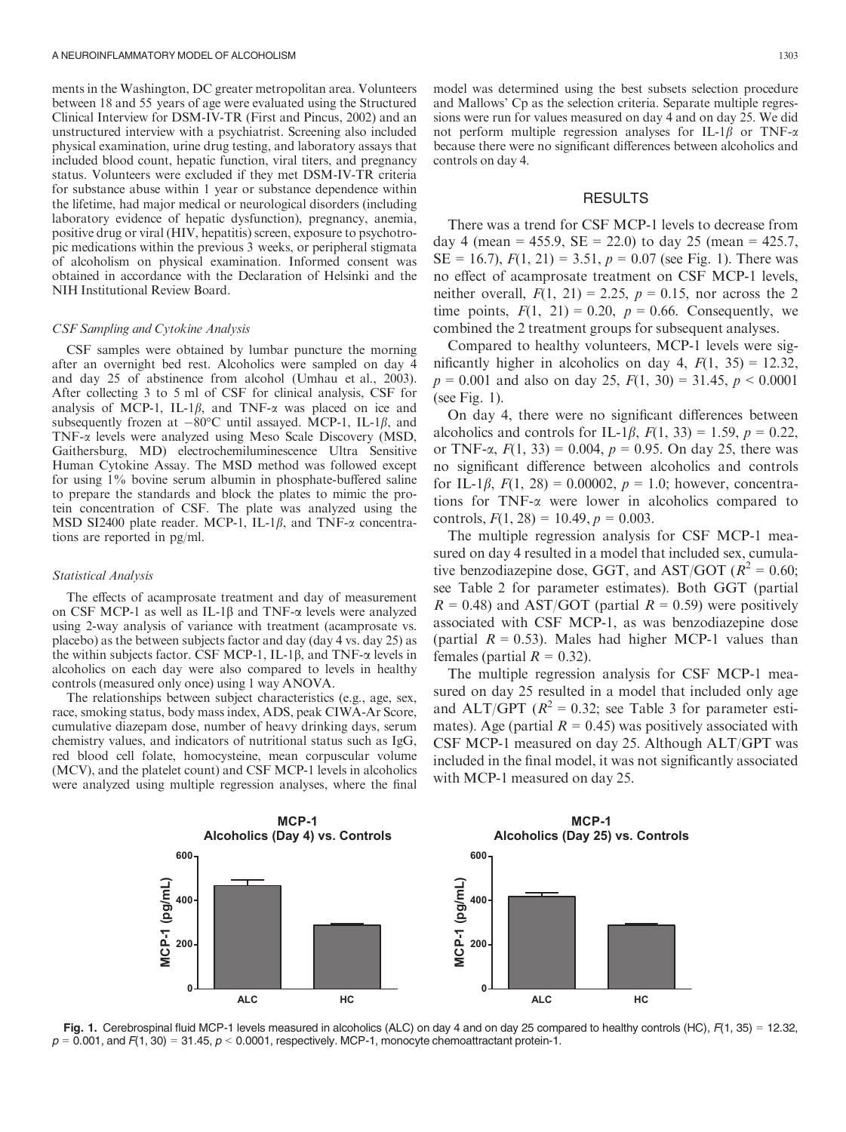ments in the Washington, DC greater metropolitan area. Volunteers between 18 and 55 years of age were evaluated using the Structured Clinical Interview for DSM-IV-TR (First and Pincus, 2002) and an unstructured interview with a psychiatrist. Screening also included physical examination, urine drug testing, and laboratory assays that included blood count, hepatic function, viral titers, and pregnancy status. Volunteers were excluded if they met DSM-IV-TR criteria for substance abuse within 1 year or substance dependence within the lifetime, had major medical or neurological disorders (including laboratory evidence of hepatic dysfunction), pregnancy, anemia, positive drug or viral (HIV, hepatitis) screen, exposure to psychotropic medications within the previous 3 weeks, or peripheral stigmata of alcoholism on physical examination. Informed consent was obtained in accordance with the Declaration of Helsinki and the NIH Institutional Review Board.

#### CSF Sampling and Cytokine Analysis

CSF samples were obtained by lumbar puncture the morning after an overnight bed rest. Alcoholics were sampled on day 4 and day 25 of abstinence from alcohol (Umhau et al., 2003). After collecting 3 to 5 ml of CSF for clinical analysis, CSF for analysis of MCP-1, IL-1 $\beta$ , and TNF- $\alpha$  was placed on ice and subsequently frozen at  $-80^{\circ}\text{C}$  until assayed. MCP-1, IL-1 $\beta$ , and TNF-a levels were analyzed using Meso Scale Discovery (MSD, Gaithersburg, MD) electrochemiluminescence Ultra Sensitive Human Cytokine Assay. The MSD method was followed except for using 1% bovine serum albumin in phosphate-buffered saline to prepare the standards and block the plates to mimic the protein concentration of CSF. The plate was analyzed using the MSD SI2400 plate reader. MCP-1, IL-1 $\beta$ , and TNF- $\alpha$  concentrations are reported in pg/ml.

#### Statistical Analysis

The effects of acamprosate treatment and day of measurement on CSF MCP-1 as well as IL-1 $\beta$  and TNF- $\alpha$  levels were analyzed using 2-way analysis of variance with treatment (acamprosate vs. placebo) as the between subjects factor and day (day 4 vs. day 25) as the within subjects factor. CSF MCP-1, IL-1 $\beta$ , and TNF- $\alpha$  levels in alcoholics on each day were also compared to levels in healthy controls (measured only once) using 1 way ANOVA.

The relationships between subject characteristics (e.g., age, sex, race, smoking status, body mass index, ADS, peak CIWA-Ar Score, cumulative diazepam dose, number of heavy drinking days, serum chemistry values, and indicators of nutritional status such as IgG, red blood cell folate, homocysteine, mean corpuscular volume (MCV), and the platelet count) and CSF MCP-1 levels in alcoholics were analyzed using multiple regression analyses, where the final

model was determined using the best subsets selection procedure and Mallows' Cp as the selection criteria. Separate multiple regressions were run for values measured on day 4 and on day 25. We did not perform multiple regression analyses for IL-1 $\beta$  or TNF- $\alpha$ because there were no significant differences between alcoholics and controls on day 4.

### RESULTS

There was a trend for CSF MCP-1 levels to decrease from day 4 (mean = 455.9,  $SE = 22.0$ ) to day 25 (mean = 425.7,  $SE = 16.7$ ,  $F(1, 21) = 3.51$ ,  $p = 0.07$  (see Fig. 1). There was no effect of acamprosate treatment on CSF MCP-1 levels, neither overall,  $F(1, 21) = 2.25$ ,  $p = 0.15$ , nor across the 2 time points,  $F(1, 21) = 0.20$ ,  $p = 0.66$ . Consequently, we combined the 2 treatment groups for subsequent analyses.

Compared to healthy volunteers, MCP-1 levels were significantly higher in alcoholics on day 4,  $F(1, 35) = 12.32$ ,  $p = 0.001$  and also on day 25,  $F(1, 30) = 31.45$ ,  $p < 0.0001$ (see Fig. 1).

On day 4, there were no significant differences between alcoholics and controls for IL-1 $\beta$ ,  $F(1, 33) = 1.59$ ,  $p = 0.22$ , or TNF- $\alpha$ ,  $F(1, 33) = 0.004$ ,  $p = 0.95$ . On day 25, there was no significant difference between alcoholics and controls for IL-1 $\beta$ ,  $F(1, 28) = 0.00002$ ,  $p = 1.0$ ; however, concentrations for TNF- $\alpha$  were lower in alcoholics compared to controls,  $F(1, 28) = 10.49$ ,  $p = 0.003$ .

The multiple regression analysis for CSF MCP-1 measured on day 4 resulted in a model that included sex, cumulative benzodiazepine dose, GGT, and AST/GOT ( $R^2 = 0.60$ ; see Table 2 for parameter estimates). Both GGT (partial  $R = 0.48$ ) and AST/GOT (partial  $R = 0.59$ ) were positively associated with CSF MCP-1, as was benzodiazepine dose (partial  $R = 0.53$ ). Males had higher MCP-1 values than females (partial  $R = 0.32$ ).

The multiple regression analysis for CSF MCP-1 measured on day 25 resulted in a model that included only age and ALT/GPT ( $R^2 = 0.32$ ; see Table 3 for parameter estimates). Age (partial  $R = 0.45$ ) was positively associated with CSF MCP-1 measured on day 25. Although ALT/GPT was included in the final model, it was not significantly associated with MCP-1 measured on day 25.



Fig. 1. Cerebrospinal fluid MCP-1 levels measured in alcoholics (ALC) on day 4 and on day 25 compared to healthy controls (HC),  $F(1, 35) = 12.32$ ,  $p = 0.001$ , and  $F(1, 30) = 31.45$ ,  $p < 0.0001$ , respectively. MCP-1, monocyte chemoattractant protein-1.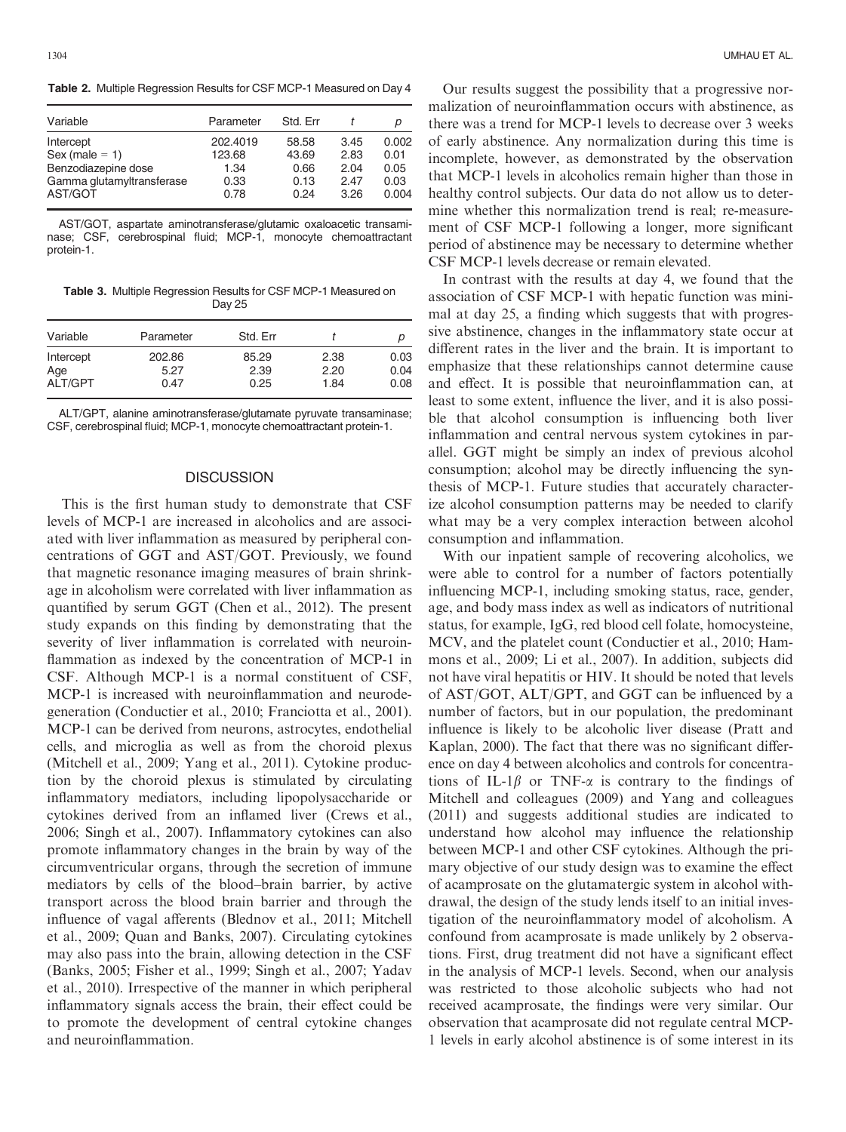Table 2. Multiple Regression Results for CSF MCP-1 Measured on Day 4

| Variable                  | Parameter | Std. Err |      | D     |
|---------------------------|-----------|----------|------|-------|
| Intercept                 | 202.4019  | 58.58    | 3.45 | 0.002 |
| Sex (male $= 1$ )         | 123.68    | 43.69    | 2.83 | 0.01  |
| Benzodiazepine dose       | 1.34      | 0.66     | 2.04 | 0.05  |
| Gamma glutamyltransferase | 0.33      | 0.13     | 2.47 | 0.03  |
| AST/GOT                   | 0.78      | 0.24     | 3.26 | 0.004 |

AST/GOT, aspartate aminotransferase/glutamic oxaloacetic transaminase; CSF, cerebrospinal fluid; MCP-1, monocyte chemoattractant protein-1.

Table 3. Multiple Regression Results for CSF MCP-1 Measured on Day 25

| Variable  | Parameter | Std. Err |      | D    |
|-----------|-----------|----------|------|------|
| Intercept | 202.86    | 85.29    | 2.38 | 0.03 |
| Age       | 5.27      | 2.39     | 2.20 | 0.04 |
| ALT/GPT   | 0.47      | 0.25     | 1.84 | 0.08 |

ALT/GPT, alanine aminotransferase/glutamate pyruvate transaminase; CSF, cerebrospinal fluid; MCP-1, monocyte chemoattractant protein-1.

#### **DISCUSSION**

This is the first human study to demonstrate that CSF levels of MCP-1 are increased in alcoholics and are associated with liver inflammation as measured by peripheral concentrations of GGT and AST/GOT. Previously, we found that magnetic resonance imaging measures of brain shrinkage in alcoholism were correlated with liver inflammation as quantified by serum GGT (Chen et al., 2012). The present study expands on this finding by demonstrating that the severity of liver inflammation is correlated with neuroinflammation as indexed by the concentration of MCP-1 in CSF. Although MCP-1 is a normal constituent of CSF, MCP-1 is increased with neuroinflammation and neurodegeneration (Conductier et al., 2010; Franciotta et al., 2001). MCP-1 can be derived from neurons, astrocytes, endothelial cells, and microglia as well as from the choroid plexus (Mitchell et al., 2009; Yang et al., 2011). Cytokine production by the choroid plexus is stimulated by circulating inflammatory mediators, including lipopolysaccharide or cytokines derived from an inflamed liver (Crews et al., 2006; Singh et al., 2007). Inflammatory cytokines can also promote inflammatory changes in the brain by way of the circumventricular organs, through the secretion of immune mediators by cells of the blood–brain barrier, by active transport across the blood brain barrier and through the influence of vagal afferents (Blednov et al., 2011; Mitchell et al., 2009; Quan and Banks, 2007). Circulating cytokines may also pass into the brain, allowing detection in the CSF (Banks, 2005; Fisher et al., 1999; Singh et al., 2007; Yadav et al., 2010). Irrespective of the manner in which peripheral inflammatory signals access the brain, their effect could be to promote the development of central cytokine changes and neuroinflammation.

Our results suggest the possibility that a progressive normalization of neuroinflammation occurs with abstinence, as there was a trend for MCP-1 levels to decrease over 3 weeks of early abstinence. Any normalization during this time is incomplete, however, as demonstrated by the observation that MCP-1 levels in alcoholics remain higher than those in healthy control subjects. Our data do not allow us to determine whether this normalization trend is real; re-measurement of CSF MCP-1 following a longer, more significant period of abstinence may be necessary to determine whether CSF MCP-1 levels decrease or remain elevated.

In contrast with the results at day 4, we found that the association of CSF MCP-1 with hepatic function was minimal at day 25, a finding which suggests that with progressive abstinence, changes in the inflammatory state occur at different rates in the liver and the brain. It is important to emphasize that these relationships cannot determine cause and effect. It is possible that neuroinflammation can, at least to some extent, influence the liver, and it is also possible that alcohol consumption is influencing both liver inflammation and central nervous system cytokines in parallel. GGT might be simply an index of previous alcohol consumption; alcohol may be directly influencing the synthesis of MCP-1. Future studies that accurately characterize alcohol consumption patterns may be needed to clarify what may be a very complex interaction between alcohol consumption and inflammation.

With our inpatient sample of recovering alcoholics, we were able to control for a number of factors potentially influencing MCP-1, including smoking status, race, gender, age, and body mass index as well as indicators of nutritional status, for example, IgG, red blood cell folate, homocysteine, MCV, and the platelet count (Conductier et al., 2010; Hammons et al., 2009; Li et al., 2007). In addition, subjects did not have viral hepatitis or HIV. It should be noted that levels of AST/GOT, ALT/GPT, and GGT can be influenced by a number of factors, but in our population, the predominant influence is likely to be alcoholic liver disease (Pratt and Kaplan, 2000). The fact that there was no significant difference on day 4 between alcoholics and controls for concentrations of IL-1 $\beta$  or TNF- $\alpha$  is contrary to the findings of Mitchell and colleagues (2009) and Yang and colleagues (2011) and suggests additional studies are indicated to understand how alcohol may influence the relationship between MCP-1 and other CSF cytokines. Although the primary objective of our study design was to examine the effect of acamprosate on the glutamatergic system in alcohol withdrawal, the design of the study lends itself to an initial investigation of the neuroinflammatory model of alcoholism. A confound from acamprosate is made unlikely by 2 observations. First, drug treatment did not have a significant effect in the analysis of MCP-1 levels. Second, when our analysis was restricted to those alcoholic subjects who had not received acamprosate, the findings were very similar. Our observation that acamprosate did not regulate central MCP-1 levels in early alcohol abstinence is of some interest in its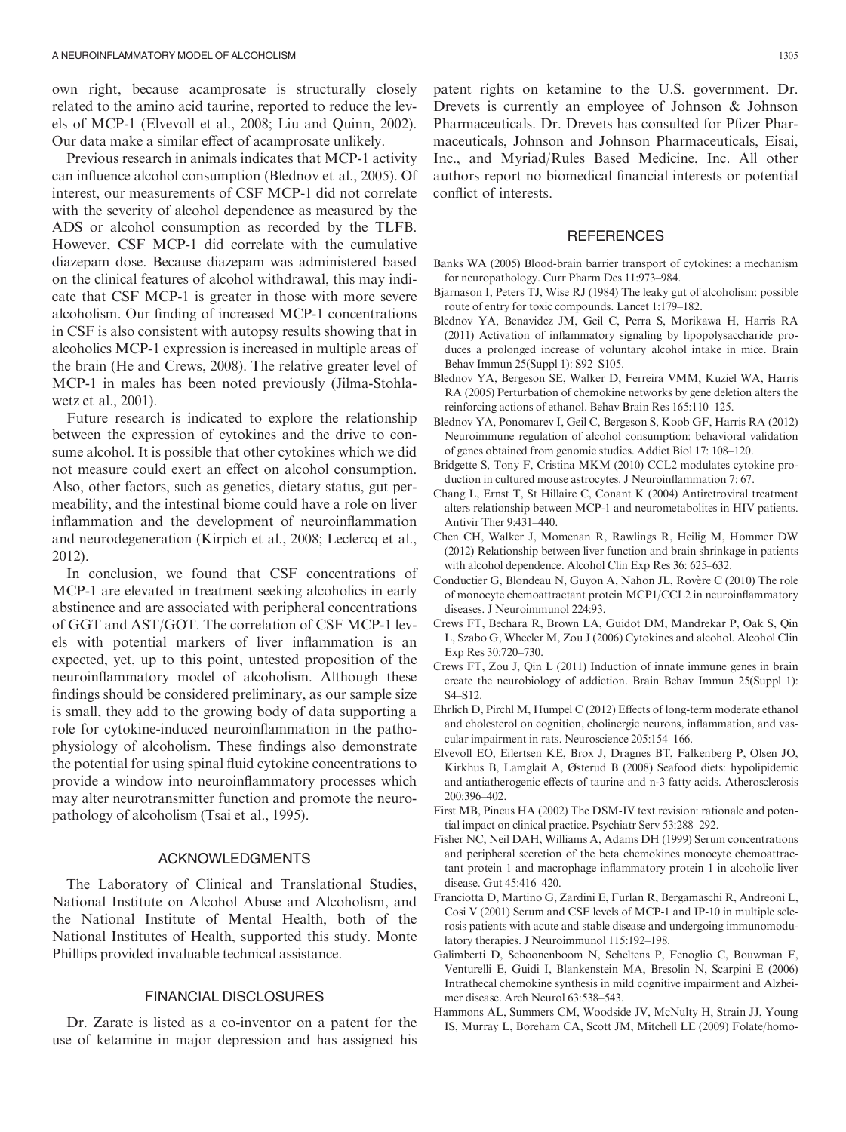own right, because acamprosate is structurally closely related to the amino acid taurine, reported to reduce the levels of MCP-1 (Elvevoll et al., 2008; Liu and Quinn, 2002). Our data make a similar effect of acamprosate unlikely.

Previous research in animals indicates that MCP-1 activity can influence alcohol consumption (Blednov et al., 2005). Of interest, our measurements of CSF MCP-1 did not correlate with the severity of alcohol dependence as measured by the ADS or alcohol consumption as recorded by the TLFB. However, CSF MCP-1 did correlate with the cumulative diazepam dose. Because diazepam was administered based on the clinical features of alcohol withdrawal, this may indicate that CSF MCP-1 is greater in those with more severe alcoholism. Our finding of increased MCP-1 concentrations in CSF is also consistent with autopsy results showing that in alcoholics MCP-1 expression is increased in multiple areas of the brain (He and Crews, 2008). The relative greater level of MCP-1 in males has been noted previously (Jilma-Stohlawetz et al., 2001).

Future research is indicated to explore the relationship between the expression of cytokines and the drive to consume alcohol. It is possible that other cytokines which we did not measure could exert an effect on alcohol consumption. Also, other factors, such as genetics, dietary status, gut permeability, and the intestinal biome could have a role on liver inflammation and the development of neuroinflammation and neurodegeneration (Kirpich et al., 2008; Leclercq et al., 2012).

In conclusion, we found that CSF concentrations of MCP-1 are elevated in treatment seeking alcoholics in early abstinence and are associated with peripheral concentrations of GGT and AST/GOT. The correlation of CSF MCP-1 levels with potential markers of liver inflammation is an expected, yet, up to this point, untested proposition of the neuroinflammatory model of alcoholism. Although these findings should be considered preliminary, as our sample size is small, they add to the growing body of data supporting a role for cytokine-induced neuroinflammation in the pathophysiology of alcoholism. These findings also demonstrate the potential for using spinal fluid cytokine concentrations to provide a window into neuroinflammatory processes which may alter neurotransmitter function and promote the neuropathology of alcoholism (Tsai et al., 1995).

## ACKNOWLEDGMENTS

The Laboratory of Clinical and Translational Studies, National Institute on Alcohol Abuse and Alcoholism, and the National Institute of Mental Health, both of the National Institutes of Health, supported this study. Monte Phillips provided invaluable technical assistance.

# FINANCIAL DISCLOSURES

Dr. Zarate is listed as a co-inventor on a patent for the use of ketamine in major depression and has assigned his

patent rights on ketamine to the U.S. government. Dr. Drevets is currently an employee of Johnson & Johnson Pharmaceuticals. Dr. Drevets has consulted for Pfizer Pharmaceuticals, Johnson and Johnson Pharmaceuticals, Eisai, Inc., and Myriad/Rules Based Medicine, Inc. All other authors report no biomedical financial interests or potential conflict of interests.

## **REFERENCES**

- Banks WA (2005) Blood-brain barrier transport of cytokines: a mechanism for neuropathology. Curr Pharm Des 11:973–984.
- Bjarnason I, Peters TJ, Wise RJ (1984) The leaky gut of alcoholism: possible route of entry for toxic compounds. Lancet 1:179–182.
- Blednov YA, Benavidez JM, Geil C, Perra S, Morikawa H, Harris RA (2011) Activation of inflammatory signaling by lipopolysaccharide produces a prolonged increase of voluntary alcohol intake in mice. Brain Behav Immun 25(Suppl 1): S92–S105.
- Blednov YA, Bergeson SE, Walker D, Ferreira VMM, Kuziel WA, Harris RA (2005) Perturbation of chemokine networks by gene deletion alters the reinforcing actions of ethanol. Behav Brain Res 165:110–125.
- Blednov YA, Ponomarev I, Geil C, Bergeson S, Koob GF, Harris RA (2012) Neuroimmune regulation of alcohol consumption: behavioral validation of genes obtained from genomic studies. Addict Biol 17: 108–120.
- Bridgette S, Tony F, Cristina MKM (2010) CCL2 modulates cytokine production in cultured mouse astrocytes. J Neuroinflammation 7: 67.
- Chang L, Ernst T, St Hillaire C, Conant K (2004) Antiretroviral treatment alters relationship between MCP-1 and neurometabolites in HIV patients. Antivir Ther 9:431–440.
- Chen CH, Walker J, Momenan R, Rawlings R, Heilig M, Hommer DW (2012) Relationship between liver function and brain shrinkage in patients with alcohol dependence. Alcohol Clin Exp Res 36: 625–632.
- Conductier G, Blondeau N, Guyon A, Nahon JL, Rovere C (2010) The role of monocyte chemoattractant protein MCP1/CCL2 in neuroinflammatory diseases. J Neuroimmunol 224:93.
- Crews FT, Bechara R, Brown LA, Guidot DM, Mandrekar P, Oak S, Qin L, Szabo G, Wheeler M, Zou J (2006) Cytokines and alcohol. Alcohol Clin Exp Res 30:720–730.
- Crews FT, Zou J, Qin L (2011) Induction of innate immune genes in brain create the neurobiology of addiction. Brain Behav Immun 25(Suppl 1): S4–S12.
- Ehrlich D, Pirchl M, Humpel C (2012) Effects of long-term moderate ethanol and cholesterol on cognition, cholinergic neurons, inflammation, and vascular impairment in rats. Neuroscience 205:154–166.
- Elvevoll EO, Eilertsen KE, Brox J, Dragnes BT, Falkenberg P, Olsen JO, Kirkhus B, Lamglait A, Østerud B (2008) Seafood diets: hypolipidemic and antiatherogenic effects of taurine and n-3 fatty acids. Atherosclerosis 200:396–402.
- First MB, Pincus HA (2002) The DSM-IV text revision: rationale and potential impact on clinical practice. Psychiatr Serv 53:288–292.
- Fisher NC, Neil DAH, Williams A, Adams DH (1999) Serum concentrations and peripheral secretion of the beta chemokines monocyte chemoattractant protein 1 and macrophage inflammatory protein 1 in alcoholic liver disease. Gut 45:416–420.
- Franciotta D, Martino G, Zardini E, Furlan R, Bergamaschi R, Andreoni L, Cosi V (2001) Serum and CSF levels of MCP-1 and IP-10 in multiple sclerosis patients with acute and stable disease and undergoing immunomodulatory therapies. J Neuroimmunol 115:192–198.
- Galimberti D, Schoonenboom N, Scheltens P, Fenoglio C, Bouwman F, Venturelli E, Guidi I, Blankenstein MA, Bresolin N, Scarpini E (2006) Intrathecal chemokine synthesis in mild cognitive impairment and Alzheimer disease. Arch Neurol 63:538–543.
- Hammons AL, Summers CM, Woodside JV, McNulty H, Strain JJ, Young IS, Murray L, Boreham CA, Scott JM, Mitchell LE (2009) Folate/homo-